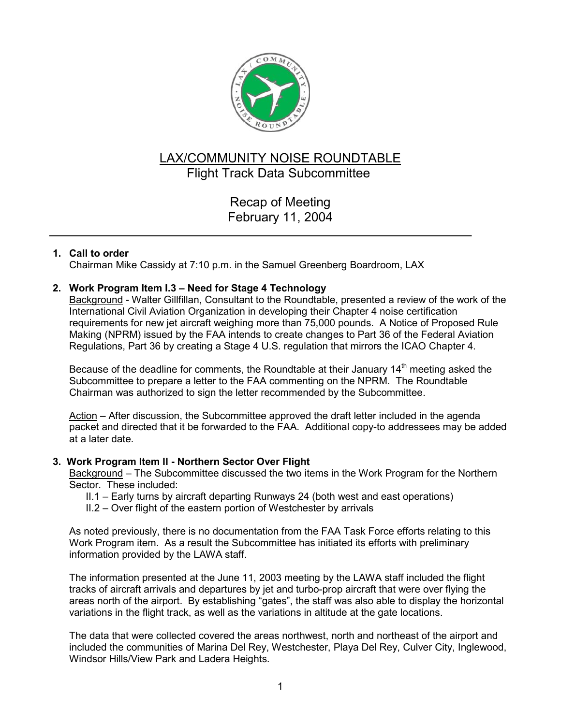

# LAX/COMMUNITY NOISE ROUNDTABLE Flight Track Data Subcommittee

Recap of Meeting February 11, 2004

# **1. Call to order**

Chairman Mike Cassidy at 7:10 p.m. in the Samuel Greenberg Boardroom, LAX

## **2. Work Program Item I.3 – Need for Stage 4 Technology**

Background - Walter Gillfillan, Consultant to the Roundtable, presented a review of the work of the International Civil Aviation Organization in developing their Chapter 4 noise certification requirements for new jet aircraft weighing more than 75,000 pounds. A Notice of Proposed Rule Making (NPRM) issued by the FAA intends to create changes to Part 36 of the Federal Aviation Regulations, Part 36 by creating a Stage 4 U.S. regulation that mirrors the ICAO Chapter 4.

Because of the deadline for comments, the Roundtable at their January  $14<sup>th</sup>$  meeting asked the Subcommittee to prepare a letter to the FAA commenting on the NPRM. The Roundtable Chairman was authorized to sign the letter recommended by the Subcommittee.

Action – After discussion, the Subcommittee approved the draft letter included in the agenda packet and directed that it be forwarded to the FAA. Additional copy-to addressees may be added at a later date.

## **3. Work Program Item II - Northern Sector Over Flight**

Background – The Subcommittee discussed the two items in the Work Program for the Northern Sector. These included:

- II.1 Early turns by aircraft departing Runways 24 (both west and east operations)
- II.2 Over flight of the eastern portion of Westchester by arrivals

As noted previously, there is no documentation from the FAA Task Force efforts relating to this Work Program item. As a result the Subcommittee has initiated its efforts with preliminary information provided by the LAWA staff.

The information presented at the June 11, 2003 meeting by the LAWA staff included the flight tracks of aircraft arrivals and departures by jet and turbo-prop aircraft that were over flying the areas north of the airport. By establishing "gates", the staff was also able to display the horizontal variations in the flight track, as well as the variations in altitude at the gate locations.

The data that were collected covered the areas northwest, north and northeast of the airport and included the communities of Marina Del Rey, Westchester, Playa Del Rey, Culver City, Inglewood, Windsor Hills/View Park and Ladera Heights.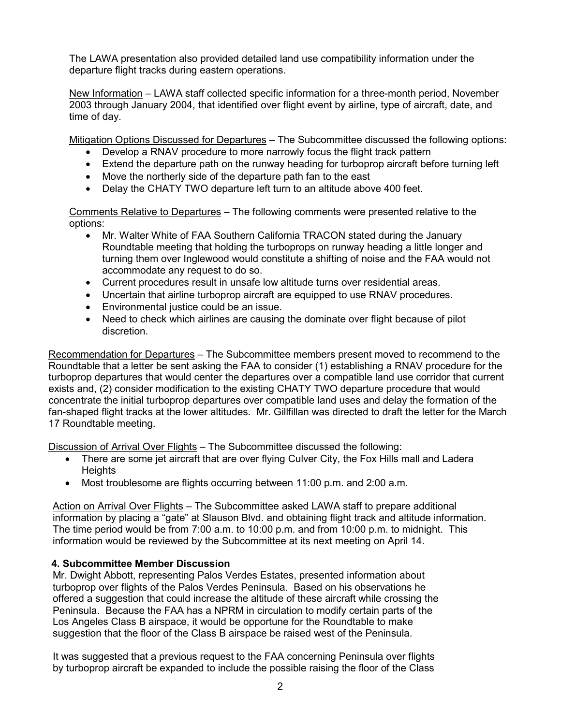The LAWA presentation also provided detailed land use compatibility information under the departure flight tracks during eastern operations.

New Information – LAWA staff collected specific information for a three-month period, November 2003 through January 2004, that identified over flight event by airline, type of aircraft, date, and time of day.

Mitigation Options Discussed for Departures – The Subcommittee discussed the following options:

- Develop a RNAV procedure to more narrowly focus the flight track pattern
- Extend the departure path on the runway heading for turboprop aircraft before turning left
- Move the northerly side of the departure path fan to the east
- Delay the CHATY TWO departure left turn to an altitude above 400 feet.

Comments Relative to Departures – The following comments were presented relative to the options:

- Mr. Walter White of FAA Southern California TRACON stated during the January Roundtable meeting that holding the turboprops on runway heading a little longer and turning them over Inglewood would constitute a shifting of noise and the FAA would not accommodate any request to do so.
- Current procedures result in unsafe low altitude turns over residential areas.
- Uncertain that airline turboprop aircraft are equipped to use RNAV procedures.
- Environmental justice could be an issue.
- Need to check which airlines are causing the dominate over flight because of pilot discretion.

Recommendation for Departures – The Subcommittee members present moved to recommend to the Roundtable that a letter be sent asking the FAA to consider (1) establishing a RNAV procedure for the turboprop departures that would center the departures over a compatible land use corridor that current exists and, (2) consider modification to the existing CHATY TWO departure procedure that would concentrate the initial turboprop departures over compatible land uses and delay the formation of the fan-shaped flight tracks at the lower altitudes. Mr. Gillfillan was directed to draft the letter for the March 17 Roundtable meeting.

Discussion of Arrival Over Flights – The Subcommittee discussed the following:

- There are some jet aircraft that are over flying Culver City, the Fox Hills mall and Ladera **Heights**
- Most troublesome are flights occurring between 11:00 p.m. and 2:00 a.m.

Action on Arrival Over Flights – The Subcommittee asked LAWA staff to prepare additional information by placing a "gate" at Slauson Blvd. and obtaining flight track and altitude information. The time period would be from 7:00 a.m. to 10:00 p.m. and from 10:00 p.m. to midnight. This information would be reviewed by the Subcommittee at its next meeting on April 14.

# **4. Subcommittee Member Discussion**

Mr. Dwight Abbott, representing Palos Verdes Estates, presented information about turboprop over flights of the Palos Verdes Peninsula. Based on his observations he offered a suggestion that could increase the altitude of these aircraft while crossing the Peninsula. Because the FAA has a NPRM in circulation to modify certain parts of the Los Angeles Class B airspace, it would be opportune for the Roundtable to make suggestion that the floor of the Class B airspace be raised west of the Peninsula.

It was suggested that a previous request to the FAA concerning Peninsula over flights by turboprop aircraft be expanded to include the possible raising the floor of the Class